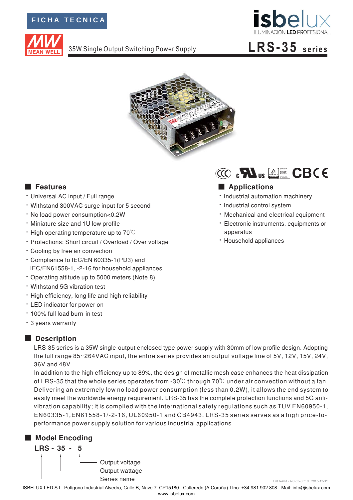## FICHA TECNICA



35W Single Output Switching Power Supply



# LRS-35 series



## **E** Features

- · Universal AC input / Full range
- · Withstand 300VAC surge input for 5 second
- · No load power consumption<0.2W
- . Miniature size and 1U low profile
- $\cdot$  High operating temperature up to 70 $\degree$ C
- · Protections: Short circuit / Overload / Over voltage
- Cooling by free air convection
- \* Compliance to IEC/EN 60335-1(PD3) and IEC/EN61558-1, -2-16 for household appliances
- Operating altitude up to 5000 meters (Note.8)
- Withstand 5G vibration test
- . High efficiency, long life and high reliability
- LED indicator for power on
- · 100% full load burn-in test
- \* 3 years warranty

### Description

LRS-35 series is a 35W single-output enclosed type power supply with 30mm of low profile design. Adopting the full range 85~264VAC input, the entire series provides an output voltage line of 5V, 12V, 15V, 24V, 36V and 48V.

In addition to the high efficiency up to 89%, the design of metallic mesh case enhances the heat dissipation of LRS-35 that the whole series operates from -30 $\degree$ C through 70 $\degree$ C under air convection without a fan. Delivering an extremely low no load power consumption (less than 0.2W), it allows the end system to easily meet the worldwide energy requirement. LRS-35 has the complete protection functions and 5G antivibration capability; it is complied with the international safety regulations such as TUV EN60950-1, EN60335-1, EN61558-1/-2-16, UL60950-1 and GB4943. LRS-35 series serves as a high price-toperformance power supply solution for various industrial applications.

## Model Encoding





### Applications

- · Industrial automation machinery
- · Industrial control system
- Mechanical and electrical equipment
- · Electronic instruments, equipments or apparatus
- · Household appliances

ISBELUX LED S.L. Polígono Industrial Alvedro, Calle B, Nave 7. CP15180 - Culleredo (A Coruña) Tfno: +34 981 902 808 - Mail: info@isbelux.com www ishelux com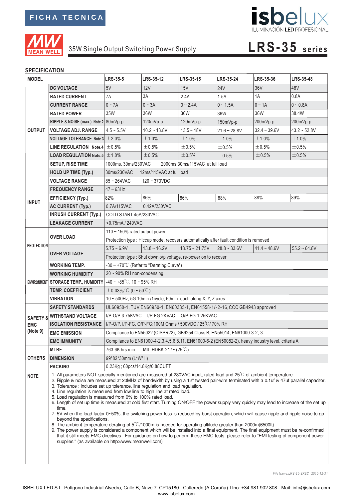

## isbelux ILUMINACIÓN LED PROFESIONAL

# 35W Single Output Switching Power Supply **LRS-35 series**

### **SPECIFICATION**

| <b>MODEL</b>           |                                                                                                                                                                                                                                                                                                                                                                                                                                                                                                                                                                                                                                                                                                                                                                                                                                                                                                                                                                                                                                                                                                                                                                                                                                                                                                              | <b>LRS-35-5</b>                                                                                   | <b>LRS-35-12</b> | LRS-35-15                        | <b>LRS-35-24</b> | LRS-35-36      | <b>LRS-35-48</b> |  |
|------------------------|--------------------------------------------------------------------------------------------------------------------------------------------------------------------------------------------------------------------------------------------------------------------------------------------------------------------------------------------------------------------------------------------------------------------------------------------------------------------------------------------------------------------------------------------------------------------------------------------------------------------------------------------------------------------------------------------------------------------------------------------------------------------------------------------------------------------------------------------------------------------------------------------------------------------------------------------------------------------------------------------------------------------------------------------------------------------------------------------------------------------------------------------------------------------------------------------------------------------------------------------------------------------------------------------------------------|---------------------------------------------------------------------------------------------------|------------------|----------------------------------|------------------|----------------|------------------|--|
|                        | <b>DC VOLTAGE</b>                                                                                                                                                                                                                                                                                                                                                                                                                                                                                                                                                                                                                                                                                                                                                                                                                                                                                                                                                                                                                                                                                                                                                                                                                                                                                            | 5V                                                                                                | 12V              | 15V                              | <b>24V</b>       | 36V            | 48V              |  |
|                        | <b>RATED CURRENT</b>                                                                                                                                                                                                                                                                                                                                                                                                                                                                                                                                                                                                                                                                                                                                                                                                                                                                                                                                                                                                                                                                                                                                                                                                                                                                                         | 7A                                                                                                | 3A               | 2.4A                             | 1.5A             | 1A             | 0.8A             |  |
|                        | <b>CURRENT RANGE</b>                                                                                                                                                                                                                                                                                                                                                                                                                                                                                                                                                                                                                                                                                                                                                                                                                                                                                                                                                                                                                                                                                                                                                                                                                                                                                         | $0 \sim 7A$                                                                                       | $0 \sim 3A$      | $0 - 2.4A$                       | $0 - 1.5A$       | $0 \sim 1A$    | $0 - 0.8A$       |  |
|                        | <b>RATED POWER</b>                                                                                                                                                                                                                                                                                                                                                                                                                                                                                                                                                                                                                                                                                                                                                                                                                                                                                                                                                                                                                                                                                                                                                                                                                                                                                           | 35W                                                                                               | 36W              | 36W                              | 36W              | 36W            | 38.4W            |  |
|                        | RIPPLE & NOISE (max.) Note.2 80mVp-p                                                                                                                                                                                                                                                                                                                                                                                                                                                                                                                                                                                                                                                                                                                                                                                                                                                                                                                                                                                                                                                                                                                                                                                                                                                                         |                                                                                                   | 120mVp-p         | 120mVp-p                         | 150mVp-p         | 200mVp-p       | 200mVp-p         |  |
| <b>OUTPUT</b>          | <b>VOLTAGE ADJ. RANGE</b>                                                                                                                                                                                                                                                                                                                                                                                                                                                                                                                                                                                                                                                                                                                                                                                                                                                                                                                                                                                                                                                                                                                                                                                                                                                                                    | $4.5 - 5.5V$                                                                                      | $10.2 - 13.8V$   | $13.5 - 18V$                     | $21.6 - 28.8V$   | $32.4 - 39.6V$ | $43.2 - 52.8V$   |  |
|                        | VOLTAGE TOLERANCE Note.3 $\pm$ 2.0%                                                                                                                                                                                                                                                                                                                                                                                                                                                                                                                                                                                                                                                                                                                                                                                                                                                                                                                                                                                                                                                                                                                                                                                                                                                                          |                                                                                                   | ±1.0%            | ±1.0%                            | ±1.0%            | ±1.0%          | ±1.0%            |  |
|                        | LINE REGULATION Note.4 $\pm$ 0.5%                                                                                                                                                                                                                                                                                                                                                                                                                                                                                                                                                                                                                                                                                                                                                                                                                                                                                                                                                                                                                                                                                                                                                                                                                                                                            |                                                                                                   | ±0.5%            | ±0.5%                            | ±0.5%            | ±0.5%          | ±0.5%            |  |
|                        | <b>LOAD REGULATION Note.5 <math>\pm</math> 1.0%</b>                                                                                                                                                                                                                                                                                                                                                                                                                                                                                                                                                                                                                                                                                                                                                                                                                                                                                                                                                                                                                                                                                                                                                                                                                                                          |                                                                                                   | ±0.5%            | ±0.5%                            | ±0.5%            | $\pm 0.5\%$    | ±0.5%            |  |
|                        | <b>SETUP, RISE TIME</b>                                                                                                                                                                                                                                                                                                                                                                                                                                                                                                                                                                                                                                                                                                                                                                                                                                                                                                                                                                                                                                                                                                                                                                                                                                                                                      | 1000ms, 30ms/230VAC                                                                               |                  | 2000ms, 30ms/115VAC at full load |                  |                |                  |  |
|                        | <b>HOLD UP TIME (Typ.)</b>                                                                                                                                                                                                                                                                                                                                                                                                                                                                                                                                                                                                                                                                                                                                                                                                                                                                                                                                                                                                                                                                                                                                                                                                                                                                                   | 30ms/230VAC<br>12ms/115VAC at full load                                                           |                  |                                  |                  |                |                  |  |
|                        | <b>VOLTAGE RANGE</b>                                                                                                                                                                                                                                                                                                                                                                                                                                                                                                                                                                                                                                                                                                                                                                                                                                                                                                                                                                                                                                                                                                                                                                                                                                                                                         | 85~264VAC<br>$120 - 373VDC$                                                                       |                  |                                  |                  |                |                  |  |
| <b>INPUT</b>           | <b>FREQUENCY RANGE</b>                                                                                                                                                                                                                                                                                                                                                                                                                                                                                                                                                                                                                                                                                                                                                                                                                                                                                                                                                                                                                                                                                                                                                                                                                                                                                       | $47 - 63$ Hz                                                                                      |                  |                                  |                  |                |                  |  |
|                        | <b>EFFICIENCY (Typ.)</b>                                                                                                                                                                                                                                                                                                                                                                                                                                                                                                                                                                                                                                                                                                                                                                                                                                                                                                                                                                                                                                                                                                                                                                                                                                                                                     | 82%                                                                                               | 86%              | 86%                              | 88%              | 88%            | 89%              |  |
|                        | AC CURRENT (Typ.)                                                                                                                                                                                                                                                                                                                                                                                                                                                                                                                                                                                                                                                                                                                                                                                                                                                                                                                                                                                                                                                                                                                                                                                                                                                                                            | 0.7A/115VAC<br>0.42A/230VAC                                                                       |                  |                                  |                  |                |                  |  |
|                        | <b>INRUSH CURRENT (Typ.)</b>                                                                                                                                                                                                                                                                                                                                                                                                                                                                                                                                                                                                                                                                                                                                                                                                                                                                                                                                                                                                                                                                                                                                                                                                                                                                                 | COLD START 45A/230VAC                                                                             |                  |                                  |                  |                |                  |  |
|                        | <b>LEAKAGE CURRENT</b>                                                                                                                                                                                                                                                                                                                                                                                                                                                                                                                                                                                                                                                                                                                                                                                                                                                                                                                                                                                                                                                                                                                                                                                                                                                                                       | <0.75mA / 240VAC                                                                                  |                  |                                  |                  |                |                  |  |
|                        | <b>OVER LOAD</b>                                                                                                                                                                                                                                                                                                                                                                                                                                                                                                                                                                                                                                                                                                                                                                                                                                                                                                                                                                                                                                                                                                                                                                                                                                                                                             | 110 $\sim$ 150% rated output power                                                                |                  |                                  |                  |                |                  |  |
|                        |                                                                                                                                                                                                                                                                                                                                                                                                                                                                                                                                                                                                                                                                                                                                                                                                                                                                                                                                                                                                                                                                                                                                                                                                                                                                                                              | Protection type : Hiccup mode, recovers automatically after fault condition is removed            |                  |                                  |                  |                |                  |  |
| <b>PROTECTION</b>      | <b>OVER VOLTAGE</b>                                                                                                                                                                                                                                                                                                                                                                                                                                                                                                                                                                                                                                                                                                                                                                                                                                                                                                                                                                                                                                                                                                                                                                                                                                                                                          | $5.75 - 6.9V$                                                                                     | $13.8 - 16.2V$   | $18.75 \sim 21.75V$              | $28.8 - 33.6V$   | $41.4 - 48.6V$ | $55.2 - 64.8V$   |  |
|                        |                                                                                                                                                                                                                                                                                                                                                                                                                                                                                                                                                                                                                                                                                                                                                                                                                                                                                                                                                                                                                                                                                                                                                                                                                                                                                                              | Protection type : Shut down o/p voltage, re-power on to recover                                   |                  |                                  |                  |                |                  |  |
|                        | <b>WORKING TEMP.</b>                                                                                                                                                                                                                                                                                                                                                                                                                                                                                                                                                                                                                                                                                                                                                                                                                                                                                                                                                                                                                                                                                                                                                                                                                                                                                         | $-30 \sim +70^{\circ}$ C (Refer to "Derating Curve")                                              |                  |                                  |                  |                |                  |  |
|                        | <b>WORKING HUMIDITY</b>                                                                                                                                                                                                                                                                                                                                                                                                                                                                                                                                                                                                                                                                                                                                                                                                                                                                                                                                                                                                                                                                                                                                                                                                                                                                                      | $20 \sim 90\%$ RH non-condensing                                                                  |                  |                                  |                  |                |                  |  |
|                        | ENVIRONMENT STORAGE TEMP., HUMIDITY                                                                                                                                                                                                                                                                                                                                                                                                                                                                                                                                                                                                                                                                                                                                                                                                                                                                                                                                                                                                                                                                                                                                                                                                                                                                          | $-40 \sim +85^{\circ}$ C, 10 ~ 95% RH                                                             |                  |                                  |                  |                |                  |  |
|                        | <b>TEMP. COEFFICIENT</b>                                                                                                                                                                                                                                                                                                                                                                                                                                                                                                                                                                                                                                                                                                                                                                                                                                                                                                                                                                                                                                                                                                                                                                                                                                                                                     | $\pm$ 0.03%/°C (0 ~ 50°C)                                                                         |                  |                                  |                  |                |                  |  |
|                        | <b>VIBRATION</b>                                                                                                                                                                                                                                                                                                                                                                                                                                                                                                                                                                                                                                                                                                                                                                                                                                                                                                                                                                                                                                                                                                                                                                                                                                                                                             | 10 ~ 500Hz, 5G 10min./1cycle, 60min. each along X, Y, Z axes                                      |                  |                                  |                  |                |                  |  |
| <b>EMC</b><br>(Note 9) | <b>SAFETY STANDARDS</b>                                                                                                                                                                                                                                                                                                                                                                                                                                                                                                                                                                                                                                                                                                                                                                                                                                                                                                                                                                                                                                                                                                                                                                                                                                                                                      | UL60950-1, TUV EN60950-1, EN60335-1, EN61558-1/-2-16, CCC GB4943 approved                         |                  |                                  |                  |                |                  |  |
|                        | <b>SAFETY &amp; WITHSTAND VOLTAGE</b>                                                                                                                                                                                                                                                                                                                                                                                                                                                                                                                                                                                                                                                                                                                                                                                                                                                                                                                                                                                                                                                                                                                                                                                                                                                                        | I/P-O/P:3.75KVAC I/P-FG:2KVAC O/P-FG:1.25KVAC                                                     |                  |                                  |                  |                |                  |  |
|                        | <b>ISOLATION RESISTANCE</b>                                                                                                                                                                                                                                                                                                                                                                                                                                                                                                                                                                                                                                                                                                                                                                                                                                                                                                                                                                                                                                                                                                                                                                                                                                                                                  | I/P-O/P, I/P-FG, O/P-FG:100M Ohms / 500VDC / 25°C/70% RH                                          |                  |                                  |                  |                |                  |  |
|                        | <b>EMC EMISSION</b>                                                                                                                                                                                                                                                                                                                                                                                                                                                                                                                                                                                                                                                                                                                                                                                                                                                                                                                                                                                                                                                                                                                                                                                                                                                                                          | Compliance to EN55022 (CISPR22), GB9254 Class B, EN55014, EN61000-3-2,-3                          |                  |                                  |                  |                |                  |  |
|                        | <b>EMC IMMUNITY</b>                                                                                                                                                                                                                                                                                                                                                                                                                                                                                                                                                                                                                                                                                                                                                                                                                                                                                                                                                                                                                                                                                                                                                                                                                                                                                          | Compliance to EN61000-4-2,3,4,5,6,8,11, EN61000-6-2 (EN50082-2), heavy industry level, criteria A |                  |                                  |                  |                |                  |  |
|                        | <b>MTBF</b>                                                                                                                                                                                                                                                                                                                                                                                                                                                                                                                                                                                                                                                                                                                                                                                                                                                                                                                                                                                                                                                                                                                                                                                                                                                                                                  | 763.6K hrs min.<br>MIL-HDBK-217F $(25^{\circ}$ C)                                                 |                  |                                  |                  |                |                  |  |
| <b>OTHERS</b>          | <b>DIMENSION</b>                                                                                                                                                                                                                                                                                                                                                                                                                                                                                                                                                                                                                                                                                                                                                                                                                                                                                                                                                                                                                                                                                                                                                                                                                                                                                             | 99*82*30mm (L*W*H)                                                                                |                  |                                  |                  |                |                  |  |
|                        | <b>PACKING</b>                                                                                                                                                                                                                                                                                                                                                                                                                                                                                                                                                                                                                                                                                                                                                                                                                                                                                                                                                                                                                                                                                                                                                                                                                                                                                               | 0.23Kg; 60pcs/14.8Kg/0.88CUFT                                                                     |                  |                                  |                  |                |                  |  |
| <b>NOTE</b>            | 1. All parameters NOT specially mentioned are measured at 230VAC input, rated load and 25 <sup>°</sup> C of ambient temperature.<br>2. Ripple & noise are measured at 20MHz of bandwidth by using a 12" twisted pair-wire terminated with a 0.1uf & 47uf parallel capacitor.<br>3. Tolerance : includes set up tolerance, line regulation and load regulation.<br>4. Line regulation is measured from low line to high line at rated load.<br>5. Load regulation is measured from 0% to 100% rated load.<br>6. Length of set up time is measured at cold first start. Turning ON/OFF the power supply very quickly may lead to increase of the set up<br>time.<br>7. 5V when the load factor 0~50%, the switching power less is reduced by burst operation, which will cause ripple and ripple noise to go<br>beyond the specifications.<br>8. The ambient temperature derating of $5^{\circ}$ C/1000m is needed for operating altitude greater than 2000m(6500ft).<br>9. The power supply is considered a component which will be installed into a final equipment. The final equipment must be re-confirmed<br>that it still meets EMC directives. For guidance on how to perform these EMC tests, please refer to "EMI testing of component power<br>supplies." (as available on http://www.meanwell.com) |                                                                                                   |                  |                                  |                  |                |                  |  |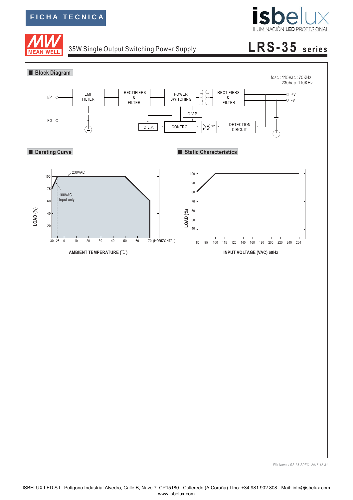**AN WELI** 



# 35W Single Output Switching Power Supply **LRS-35 series**



*File Name:LRS-35-SPEC 2015-12-31*